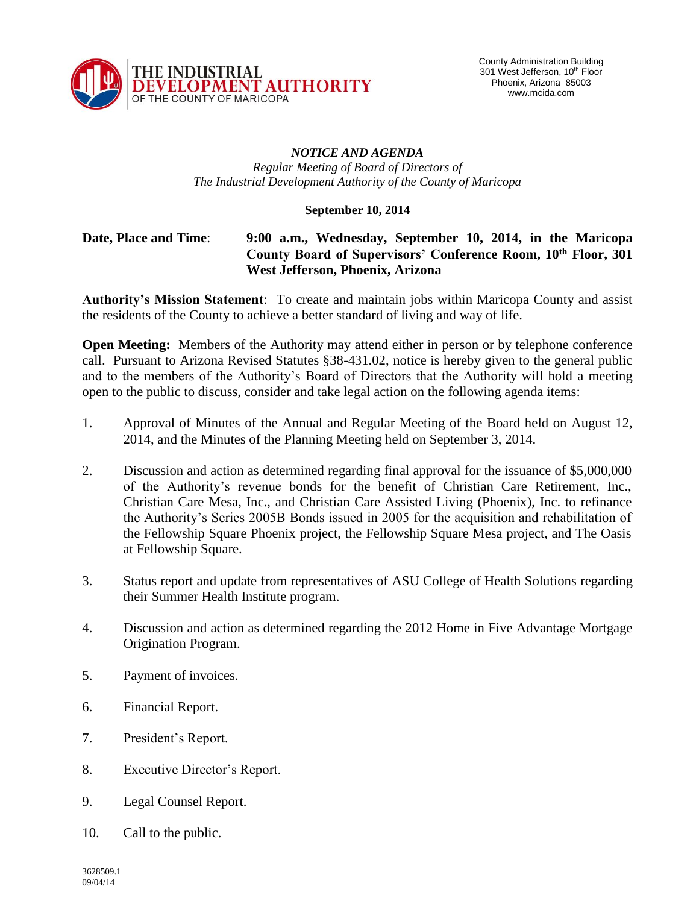

## *NOTICE AND AGENDA Regular Meeting of Board of Directors of The Industrial Development Authority of the County of Maricopa*

## **September 10, 2014**

## **Date, Place and Time**: **9:00 a.m., Wednesday, September 10, 2014, in the Maricopa County Board of Supervisors' Conference Room, 10th Floor, 301 West Jefferson, Phoenix, Arizona**

**Authority's Mission Statement**: To create and maintain jobs within Maricopa County and assist the residents of the County to achieve a better standard of living and way of life.

**Open Meeting:** Members of the Authority may attend either in person or by telephone conference call. Pursuant to Arizona Revised Statutes §38-431.02, notice is hereby given to the general public and to the members of the Authority's Board of Directors that the Authority will hold a meeting open to the public to discuss, consider and take legal action on the following agenda items:

- 1. Approval of Minutes of the Annual and Regular Meeting of the Board held on August 12, 2014, and the Minutes of the Planning Meeting held on September 3, 2014.
- 2. Discussion and action as determined regarding final approval for the issuance of \$5,000,000 of the Authority's revenue bonds for the benefit of Christian Care Retirement, Inc., Christian Care Mesa, Inc., and Christian Care Assisted Living (Phoenix), Inc. to refinance the Authority's Series 2005B Bonds issued in 2005 for the acquisition and rehabilitation of the Fellowship Square Phoenix project, the Fellowship Square Mesa project, and The Oasis at Fellowship Square.
- 3. Status report and update from representatives of ASU College of Health Solutions regarding their Summer Health Institute program.
- 4. Discussion and action as determined regarding the 2012 Home in Five Advantage Mortgage Origination Program.
- 5. Payment of invoices.
- 6. Financial Report.
- 7. President's Report.
- 8. Executive Director's Report.
- 9. Legal Counsel Report.
- 10. Call to the public.